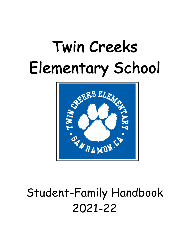# Twin Creeks Elementary School



## Student-Family Handbook 2021-22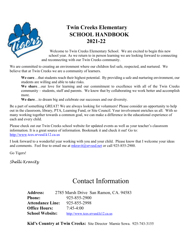

## **Twin Creeks Elementary SCHOOL HANDBOOK 2021-22**

Welcome to Twin Creeks Elementary School. We are excited to begin this new school year. As we return to in person learning we are looking forward to connecting and reconnecting with our Twin Creeks community.

We are committed to creating an environment where our children feel safe, respected, and nurtured. We believe that at Twin Creeks we are a community of learners.

**We care**…that students reach their highest potential. By providing a safe and nurturing environment, our students are willing and able to take risks.

**We share**…our love for learning and our commitment to excellence with all of the Twin Creeks community – students, staff and parents. We know that by collaborating we work better and accomplish more.

**We dare**…to dream big and celebrate our successes and our diversity.

Be a part of something GREAT! We are always looking for volunteers! Please consider an opportunity to help out in the classroom, library, PTA, Learning Fund, or Site Council. Your involvement enriches us all. With so many working together towards a common goal, we can make a difference in the educational experience of each and every child.

Please check out our Twin Creeks school website for updated events as well as your teacher's classroom information. It is a great source of information. Bookmark it and check it out! Go to: http://www.tces.srvusd.k12.ca.us

I look forward to a wonderful year working with you and your child. Please know that I welcome your ideas and comments. Feel free to email me at  $mkravit@srvusd.net$  or call 925-855-2900.

Go Tigers!

*Shelli Kravitz*

## Contact Information

**Address:** 2785 Marsh Drive San Ramon, CA. 94583 **Phone:** 925-855-2900 **Attendance Line:** 925-855-2998 **Office Hours:** 7:45-4:00 School Website: http://www.tces.srvusd.k12.ca.us

**Kid's Country at Twin Creeks:** Site Director Marnie Sowa. 925-743-3155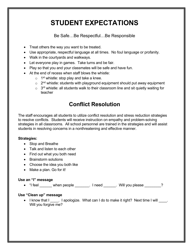## **STUDENT EXPECTATIONS**

Be Safe…Be Respectful…Be Responsible

- Treat others the way you want to be treated.
- Use appropriate, respectful language at all times. No foul language or profanity.
- Walk in the courtyards and walkways.
- Let everyone play in games. Take turns and be fair.
- Play so that you and your classmates will be safe and have fun.
- At the end of recess when staff blows the whistle:
	- $\circ$  1<sup>st</sup> whistle: stop play and take a knee.
	- $\circ$  2<sup>nd</sup> whistle: students with playground equipment should put away equipment
	- $\circ$  3<sup>rd</sup> whistle: all students walk to their classroom line and sit quietly waiting for teacher

## **Conflict Resolution**

The staff encourages all students to utilize conflict resolution and stress reduction strategies to resolve conflicts. Students will receive instruction on empathy and problem-solving strategies in all classrooms. All school personnel are trained in the strategies and will assist students in resolving concerns in a nonthreatening and effective manner.

#### **Strategies:**

- Stop and Breathe
- Talk and listen to each other
- Find out what you both need
- Brainstorm solutions
- Choose the idea you both like
- Make a plan. Go for it!

#### **Use an "I" message**

• "I feel \_\_\_\_\_\_ when people \_\_\_\_\_\_\_. I need \_\_\_\_\_\_. Will you please \_\_\_\_\_\_\_?

#### **Use "Clean up" message**

• I know that I apologize. What can I do to make it right? Next time I will  $\blacksquare$ . Will you forgive me?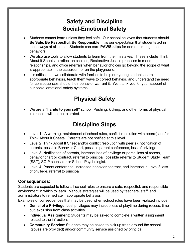## **Safety and Discipline Social-Emotional Safety**

- Students cannot learn unless they feel safe. Our school believes that students should **Be Safe, Be Respectful, Be Responsible**. It is our expectation that students act in these ways at all times. Students can earn **PAWS slips** for demonstrating these behaviors.
- We also use tools to allow students to learn from their mistakes. These include Think About It Sheets to reflect on choices, Restorative Justice practices to mend relationships, and office referrals when behavior choices go beyond the scope of what is appropriate in the classroom or on the playground.
- It is critical that we collaborate with families to help our young students learn appropriate behaviors, teach them ways to correct behavior, and understand the need for consequences should their behavior warrant it. We thank you for your support of our social emotional safety systems.

## **Physical Safety**

• We are a **"hands to yourself"** school. Pushing, kicking, and other forms of physical interaction will not be tolerated.

## **Discipline Steps**

- Level 1: A warning, restatement of school rules, conflict resolution with peer(s) and/or Think About It Sheets. Parents are not notified at this level.
- Level 2: Think About It Sheet and/or conflict resolution with peer(s), notification of parents, possible Behavior Chart, possible parent conference, loss of privilege.
- Level 3: Notification of parents, increase loss of privilege or partial loss of recess, behavior chart or contract, referral to principal, possible referral to Student Study Team (SST), SCIP counselor or School Psychologist.
- Level 4: Parent conference, increased behavior contract, and increase in Level 3 loss of privilege, referral to principal.

#### **Consequences:**

Students are expected to follow all school rules to ensure a safe, respectful, and responsible environment in which to learn. Various strategies will be used by teachers, staff, and administrators to remediate inappropriate behavior.

Examples of consequences that may be used when school rules have been violated include:

- **Denial of a Privilege**: Lost privileges may include loss of playtime during recess, time out, exclusion from class activities
- **Individual Assignment**: Students may be asked to complete a written assignment related to the infraction.
- **Community Service**: Students may be asked to pick up trash around the school (gloves are provided) and/or community service assigned by principal.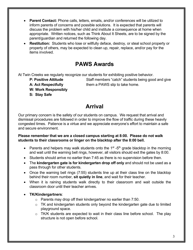- **Parent Contact:** Phone calls, letters, emails, and/or conferences will be utilized to inform parents of concerns and possible solutions. It is expected that parents will discuss the problem with his/her child and institute a consequence at home when appropriate. Written notices, such as Think About It Sheets, are to be signed by the parent/guardian and returned the following day.
- **Restitution:** Students who lose or willfully deface, destroy, or steal school property or property of others, may be expected to clean up, repair, replace, and/or pay for the items involved.

#### **PAWS Awards**

At Twin Creeks we regularly recognize our students for exhibiting positive behavior.

- 
- 
- **W: Work Responsibly**
- **S: Stay Safe**

**P: Positive Attitude** Staff members "catch" students being good and give **A: Act Respectfully** them a PAWS slip to take home.

#### **Arrival**

Our primary concern is the safety of our students on campus. We request that arrival and dismissal procedures are followed in order to improve the flow of traffic during these heavily congested times. Patience is a virtue and we appreciate everyone's effort to maintain a safe and secure environment.

**Please remember that we are a closed campus starting at 8:00. Please do not walk students to their classrooms or linger on the blacktop after the 8:00 bell.**

- Parents and helpers may walk students onto the  $1<sup>st</sup> -5<sup>th</sup>$  grade blacktop in the morning and wait until the warning bell rings, however, all visitors should exit the gates by 8:00.
- Students should arrive no earlier than 7:45 as there is no supervision before then.
- The **kindergarten gate is for kindergarten drop off only** and should not be used as a pass through for other students.
- Once the warning bell rings (7:55) students line up at their class line on the blacktop behind their room number, **sit quietly in line**, and wait for their teacher.
- When it is raining students walk directly to their classroom and wait outside the classroom door until their teacher arrives.
- **TK/Kindergartners**:
	- $\circ$  Parents may drop off their kindergartner no earlier than 7:50.
	- o TK and kindergarten students only beyond the kindergarten gate due to limited playground space.
	- o TK/K students are expected to wait in their class line before school. The play structure is not open before school.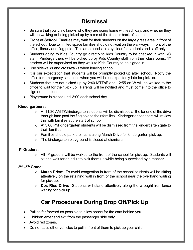## **Dismissal**

- Be sure that your child knows who they are going home with each day, and whether they will be walking or being picked up by a car at the front or back of school.
- **Front of School**: Families may wait for their students on the large grass area in front of the school. Due to limited space families should not wait on the walkways in front of the office, library and flag pole. This area needs to stay clear for students and staff only.
- Students going to Kids Country go directly to Kids Country to be checked in with KC staff. Kindergartners will be picked up by Kids Country staff from their classrooms. 1<sup>st</sup> graders will be supervised as they walk to Kids Country to be signed in.
- Use sidewalks and crosswalks when leaving school.
- It is our expectation that students will be promptly picked up after school. Notify the office for emergency situations when you will be unexpectedly late for pick up.
- Students that are not picked up by 2:40 MTThF and 12:55 on W will be walked to the office to wait for their pick up. Parents will be notified and must come into the office to sign out the student.
- Playground is closed until 3:00 each school day.

#### **Kindergartners:**

- $\circ$  At 11:30 AM TK/kindergarten students will be dismissed at the far end of the drive through lane past the flag pole to their families. Kindergarten teachers will review this with families at the start of school.
- $\circ$  At 3:00 PM kindergarten students will be dismissed from the kindergarten gate to their families.
- $\circ$  Families should park their cars along Marsh Drive for kindergarten pick up.
- o The kindergarten playground is closed at dismissal.

#### **1st Graders:**

 $\circ$  All 1<sup>st</sup> graders will be walked to the front of the school for pick up. Students will sit and wait for an adult to pick them up while being supervised by a teacher.

#### **2nd -5th Grade:**

- o **Marsh Drive:** To avoid congestion in front of the school students will be sitting attentively on the retaining wall in front of the school near the overhang waiting for pick up.
- o **Dos Rios Drive:** Students will stand attentively along the wrought iron fence waiting for pick up.

## **Car Procedures During Drop Off/Pick Up**

- Pull as far forward as possible to allow space for the cars behind you.
- Children enter and exit from the passenger side only.
- Avoid red zones.
- Do not pass other vehicles to pull in front of them to pick up your child.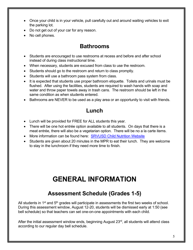- Once your child is in your vehicle, pull carefully out and around waiting vehicles to exit the parking lot.
- Do not get out of your car for any reason.
- No cell phones.

#### **Bathrooms**

- Students are encouraged to use restrooms at recess and before and after school instead of during class instructional time.
- When necessary, students are excused from class to use the restroom.
- Students should go to the restroom and return to class promptly.
- Students will use a bathroom pass system from class.
- It is expected that students use proper bathroom etiquette. Toilets and urinals must be flushed. After using the facilities, students are required to wash hands with soap and water and throw paper towels away in trash cans. The restroom should be left in the same condition as when students entered.
- Bathrooms are NEVER to be used as a play area or an opportunity to visit with friends.

#### **Lunch**

- Lunch will be provided for FREE for ALL students this year.
- There will be one hot entrée option available to all students. On days that there is a meat entrée, there will also be a vegetarian option. There will be no a la carte items.
- More information can be found here: SRVUSD Child Nutrition Website
- Students are given about 20 minutes in the MPR to eat their lunch. They are welcome to stay in the lunchroom if they need more time to finish.

## **GENERAL INFORMATION**

#### **Assessment Schedule (Grades 1-5)**

All students in  $1<sup>st</sup>$  and  $5<sup>th</sup>$  grades will participate in assessments the first two weeks of school. During this assessment window, August 12-20, students will be dismissed early at 1:50 (see bell schedule) so that teachers can set one-on-one appointments with each child.

After the initial assessment window ends, beginning August  $23<sup>rd</sup>$ , all students will attend class according to our regular day bell schedule.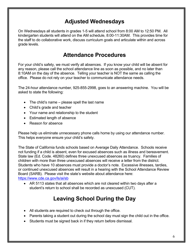#### **Adjusted Wednesdays**

On Wednesdays all students in grades 1-5 will attend school from 8:00 AM to 12:50 PM. All kindergarten students will attend on the AM schedule, 8:00-11:30AM. This provides time for the staff to do collaborative work, discuss curriculum goals and articulate within and across grade levels.

#### **Attendance Procedures**

For your child's safety, we must verify all absences. If you know your child will be absent for any reason, please call the school attendance line as soon as possible, and no later than 8:10AM on the day of the absence. Telling your teacher is NOT the same as calling the office. Please do not rely on your teacher to communicate attendance needs.

The 24-hour attendance number, 925-855-2998, goes to an answering machine. You will be asked to state the following:

- The child's name please spell the last name
- Child's grade and teacher
- Your name and relationship to the student
- Estimated length of absence
- Reason for absence

Please help us eliminate unnecessary phone calls home by using our attendance number. This helps everyone ensure your child's safety.

The State of California funds schools based on Average Daily Attendance. Schools receive not funding if a child is absent, even for excused absences such as illness and bereavement. State law (Ed. Code. 48260) defines three unexcused absences as truancy. Families of children with more than three unexcused absences will receive a letter from the district. Students who have 10 absences must provide a doctor's note. Excessive illnesses, tardies, or continued unexcused absences will result in a hearing with the School Attendance Review Board (SARB). Please visit the state's website about attendance here: https://www.cde.ca.gov/ls/ai/sb

• AR 5113 states that all absences which are not cleared within two days after a student's return to school shall be recorded as unexcused (CUT).

## **Leaving School During the Day**

- All students are required to check out through the office.
- Parents taking a student out during the school day must sign the child out in the office.
- Students must be signed back in if they return before dismissal.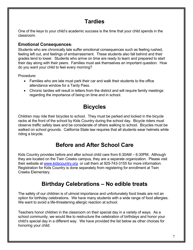## **Tardies**

One of the keys to your child's academic success is the time that your child spends in the classroom.

#### **Emotional Consequences:**

Students who are chronically late suffer emotional consequences such as feeling rushed, feeling left out, and feelings of embarrassment. These students also fall behind and their grades tend to lower. Students who arrive on time are ready to learn and prepared to start their day along with their peers. Families must ask themselves an important question: How do you want your child to feel every morning?

Procedure:

- Families who are late must park their car and walk their students to the office attendance window for a Tardy Pass.
- Chronic tardies will result in letters from the district and will require family meetings regarding the importance of being on time and in school.

## **Bicycles**

Children may ride their bicycles to school. They must be parked and locked in the bicycle racks at the front of the school by Kids Country during the school day. Bicycle riders must observe traffic safety laws and be considerate of others walking to school. Bicycles must be walked on school grounds. California State law requires that all students wear helmets while riding a bicycle.

## **Before and After School Care**

Kids Country provides before and after school child care from 6:30AM – 6:30PM. Although they are located on the Twin Creeks campus, they are a separate organization. Please visit their website at www.kidscountry.org or call them at 925-743-3155 for more information. Registration for Kids Country is done separately from registering for enrollment at Twin Creeks Elementary.

## **Birthday Celebrations – No edible treats**

The safety of our children is of utmost importance and unfortunately food treats are not an option for birthday celebrations. We have many students with a wide range of food allergies. We want to avoid a life-threatening allergic reaction at school.

Teachers honor children in the classroom on their special day in a variety of ways. As a school community, we would like to restructure the celebration of birthdays and honor your child's special day in a different way. We have provided the list below as other choices for honoring your child: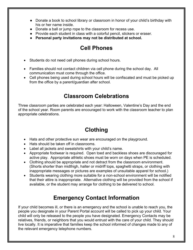- Donate a book to school library or classroom in honor of your child's birthday with his or her name inside.
- Donate a ball or jump rope to the classroom for recess use.
- Provide each student in class with a colorful pencil, stickers or eraser.
- **Personal party invitations may not be distributed at school.**

## **Cell Phones**

- Students do not need cell phones during school hours.
- Families should not contact children via cell phone during the school day. All communication must come through the office.
- Cell phones being used during school hours will be confiscated and must be picked up from the office by a parent/guardian after school.

#### **Classroom Celebrations**

Three classroom parties are celebrated each year: Halloween, Valentine's Day and the end of the school year. Room parents are encouraged to work with the classroom teacher to plan appropriate celebrations.

## **Clothing**

- Hats and other protective sun wear are encouraged on the playground.
- Hats should be taken off in classrooms.
- Label all jackets and sweatshirts with your child's name.
- Appropriate footwear is required. Open toed and backless shoes are discouraged for active play. Appropriate athletic shoes must be worn on days when PE is scheduled.
- Clothing should be appropriate and not detract from the classroom environment. (Shorts shorter than midthigh, halter or midriff tops, spaghetti straps, or clothing with inappropriate messages or pictures are examples of unsuitable apparel for school.)
- Students wearing clothing more suitable for a non-school environment will be notified that their attire is inappropriate. Alternative clothing will be provided from the school if available, or the student may arrange for clothing to be delivered to school.

## **Emergency Contact Information**

If your child becomes ill, or there is an emergency and the school is unable to reach you, the people you designate in your Parent Portal account will be called to pick up your child. Your child will only be released to the people you have designated. Emergency Contacts may be relatives, friends, or neighbors that you would entrust with the care of your child. They should live locally. It is imperative that families keep the school informed of changes made to any of the relevant emergency telephone numbers.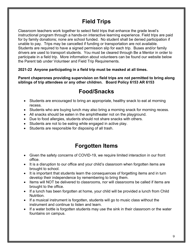## **Field Trips**

Classroom teachers work together to select field trips that enhance the grade level's instructional program through a hands-on interactive learning experience. Field trips are paid for by family donations; none are school funded. No student shall be denied participation if unable to pay. Trips may be cancelled if funding or transportation are not available. Students are required to have a signed permission slip for each trip. Buses and/or family drivers are used to transport students. You must be cleared through Be a Mentor in order to participate in a field trip. More information about volunteers can be found our website below the Parent tab under Volunteer and Field Trip Requirements.

#### **2021-22 Anyone participating in a field trip must be masked at all times.**

**Parent chaperones providing supervision on field trips are not permitted to bring along siblings of trip attendees or any other children. Board Policy 6153 AR 6153**

#### **Food/Snacks**

- Students are encouraged to bring an appropriate, healthy snack to eat at morning recess.
- Students who are buying lunch may also bring a morning snack for morning recess.
- All snacks should be eaten in the amphitheater not on the playground.
- Due to food allergies, students should not share snacks with others.
- Students are not to be eating while engaged in active play.
- Students are responsible for disposing of all trash.

#### **Forgotten Items**

- Given the safety concerns of COVID-19, we require limited interaction in our front office.
- It is a disruption to our office and your child's classroom when forgotten items are brought to school.
- It is important that students learn the consequences of forgetting items and in turn develop their independence by remembering to bring them.
- Items will NOT be delivered to classrooms, nor will classrooms be called if items are brought to the office.
- If a lunch has been forgotten at home, your child will be provided a lunch from Child Nutrition.
- If a musical instrument is forgotten, students will go to music class without the instrument and continue to listen and learn.
- If a water bottle is forgotten students may use the sink in their classroom or the water fountains on campus.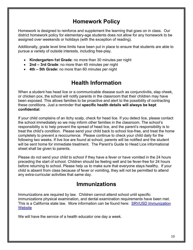#### **Homework Policy**

Homework is designed to reinforce and supplement the learning that goes on in class. Our district homework policy for elementary-age students does not allow for any homework to be assigned over weekends or holidays (with the exception of reading).

Additionally, grade level time limits have been put in place to ensure that students are able to pursue a variety of outside interests, including free-play.

- **Kindergarten-1st Grade**: no more than 30 minutes per night
- **2nd – 3rd Grade**: no more than 45 minutes per night
- **4th – 5th Grade:** no more than 60 minutes per night

## **Health Information**

When a student has head lice or a communicable disease such as conjunctivitis, slap cheek, or chicken pox, the school will notify parents in the classroom that their children may have been exposed. This allows families to be proactive and alert to the possibility of contracting these conditions. Just a reminder that **specific health details will always be kept confidential**.

If your child complains of an itchy scalp, check for head lice. If you detect lice, please contact the school immediately so we may inform other families in the classroom. The school's responsibility is to help prevent the spread of head lice, and the parent's responsibility is to treat the child's condition. Please send your child back to school lice-free, and treat the home completely to prevent a reoccurrence. Please continue to check your child daily for the following two weeks. If live lice are found at school, parents will be notified and the student will be sent home for immediate treatment. The Parent's Guide to Head Lice informational sheet shall be given to parents.

Please do not send your child to school if they have a fever or have vomited in the 24 hours preceding the start of school. Children should be feeling well and be fever-free for 24 hours before returning to school. Please help us to make sure that everyone stays healthy. If your child is absent from class because of fever or vomiting, they will not be permitted to attend any extra-curricular activities that same day.

#### **Immunizations**

Immunizations are required by law. Children cannot attend school until specific immunizations physical examination, and dental examination requirements have been met. This is a California state law. More information can be found here: **SRVUSD Immunization Website** 

We will have the service of a health educator one day a week.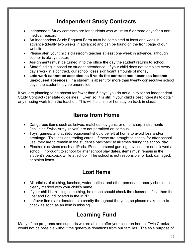#### **Independent Study Contracts**

- Independent Study contracts are for students who will miss 5 or more days for a nonmedical reason.
- An Independent Study Request Form must be completed at least one week in advance (ideally two weeks in advance) and can be found on the front page of our website.
- Please alert your child's classroom teacher at least one week in advance, although sooner is always better.
- Assignments must be turned in to the office the day the student returns to school.
- State funding is based on student attendance. If your child does not complete every day's work in a contract, our school loses significant amounts of money.
- **Late work cannot be accepted as it voids the contract and absences become unexcused absences.** If a student is absent for more than twenty consecutive school days, the student may be unenrolled.

If you are planning to be absent for fewer than 5 days, you do not qualify for an Independent Study Contract (per state guidelines). Even so, it is still in your child's best interests to obtain any missing work from the teacher. This will help him or her stay on track in class.

## **Items from Home**

- Dangerous items such as knives, matches, toy guns, or other sharp instruments (including Swiss Army knives) are not permitted on campus.
- Toys, games, and athletic equipment should be left at home to avoid loss and/or breakage. This includes trading cards. If these are brought to school for after-school use, they are to remain in the student's backpack at all times during the school day.
- Electronic devices (such as iPads, iPods, personal gaming devices) are not allowed at school. If brought to school for after school play dates, items must remain in the student's backpack while at school. The school is not responsible for lost, damaged, or stolen items.

## **Lost Items**

- All articles of clothing, lunches, water bottles, and other personal property should be clearly marked with your child's name.
- If your child is missing something, he or she should check the classroom first, then the Lost and Found located in the MPR.
- Leftover items are donated to a charity throughout the year, so please make sure to check as soon as an item is missing.

## **Learning Fund**

Many of the programs and supports we are able to offer your children here at Twin Creeks would not be possible without the generous donations from our families. The sole purpose of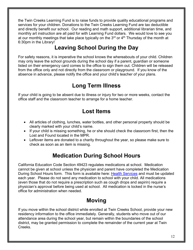the Twin Creeks Learning Fund is to raise funds to provide quality educational programs and services for your children. Donations to the Twin Creeks Learning Fund are tax deductible and directly benefit our school. Our reading and math support, additional librarian time, and monthly art instruction are all paid for with Learning Fund dollars. We would love to see you at our monthly meetings that take place typically on the  $3<sup>rd</sup>$  or  $4<sup>th</sup>$  Thursday of the month at 6:30pm in the Library!

## **Leaving School During the Day**

For safety reasons, it is imperative the school knows the whereabouts of your child. Children may only leave the school grounds during the school day if a parent, guardian or someone listed on their emergency card comes to the office to sign them out. Children will be released from the office only and not directly from the classroom or playground. If you know of the absence in advance, please notify the office and your child's teacher of your plans.

## **Long Term Illness**

If your child is going to be absent due to illness or injury for two or more weeks, contact the office staff and the classroom teacher to arrange for a home teacher.

#### **Lost Items**

- All articles of clothing, lunches, water bottles, and other personal property should be clearly marked with your child's name.
- If your child is missing something, he or she should check the classroom first, then the Lost and Found located in the MPR.
- Leftover items are donated to a charity throughout the year, so please make sure to check as soon as an item is missing.

## **Medication During School Hours**

California Education Code Section 49423 regulates medications at school. Medication cannot be given at school unless the physician and parent have completed the Medication During School Hours form. This form is available here: Health Services and must be updated each year. Please do not send any medication to school with your child. All medications (even those that do not require a prescription such as cough drops and aspirin) require a physician's approval before being used at school. All medication is locked in the nurse's office for administration when needed.

## **Moving**

If you move within the school district while enrolled at Twin Creeks School, provide your new residency information to the office immediately. Generally, students who move out of our attendance area during the school year, but remain within the boundaries of the school district, may be granted permission to complete the remainder of the current year at Twin Creeks.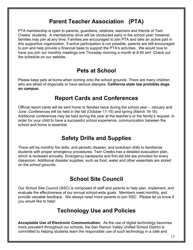#### **Parent Teacher Association (PTA)**

PTA membership is open to parents, guardians, relatives, teachers and friends of Twin Creeks' students. A membership drive will be conducted early in the school year; however, families may join at any time. Families are encouraged to join PTA and take an active part in this supportive organization. If active participation is not possible, parents are still encouraged to join and help provide a financial base to support the PTA's activities. We would love to have you join our monthly meetings one Thursday morning a month at 8:40 am! Check out the schedule on our website.

#### **Pets at School**

Please keep pets at home when coming onto the school grounds. There are many children who are afraid of dogs/cats or have serious allergies. **California state law prohibits dogs on campus.**

#### **Report Cards and Conferences**

Official report cards will be sent home to families twice during the school year – January and June. Conferences will be held in the fall (October 11-15) and spring (March 16-18). Additional conferences may be held during the year at the teacher's or the family's request. In order for your child to have a successful school experience, communication between the school and home is essential.

#### **Safety Drills and Supplies**

There will be monthly fire drills, and periodic disaster, and lockdown drills to familiarize students with proper emergency procedures. Twin Creeks has a detailed evacuation plan, which is reviewed annually. Emergency backpacks and first aid kits are provided for every classroom. Additional disaster supplies, such as food, water and other essentials are stored on the school grounds.

#### **School Site Council**

Our School Site Council (SSC) is composed of staff and parents to help plan, implement, and evaluate the effectiveness of our annual school-wide goals. Members meet monthly, and provide valuable feedback. We always need more parents to join SSC. Please let us know if you would like to help!

#### **Technology Use and Policies**

**Acceptable Use of Electronic Communication:** As the use of digital technology becomes more prevalent throughout our schools, the San Ramon Valley Unified School District is committed to helping students learn the responsible use of such technology in a safe and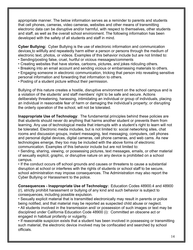appropriate manner. The below information serves as a reminder to parents and students that cell phones, cameras, video cameras, websites and other means of transmitting electronic data can be disruptive and/or harmful, with respect to themselves, other students and staff, as well as the overall school environment. The following information has been developed with the safety of all students and staff in mind.

**Cyber Bullying:** Cyber Bullying is the use of electronic information and communication devices to willfully and repeatedly harm either a person or persons through the medium of electronic text, photos, or videos. Examples of this behavior include but are not limited to:

- Sending/posting false, cruel, hurtful or vicious messages/comments
- Creating websites that have stories, cartoons, pictures, and jokes ridiculing others.
- Breaking into an email account and sending vicious or embarrassing materials to others.

• Engaging someone in electronic communication, tricking that person into revealing sensitive personal information and forwarding that information to others.

• Posting of a student picture without their permission.

Bullying of this nature creates a hostile, disruptive environment on the school campus and is a violation of the students' and staff members' right to be safe and secure. Actions deliberately threatening, harassing, intimidating an individual or group of individuals, placing an individual in reasonable fear of harm or damaging the individual's property; or disrupting the orderly operation of the school, will not be tolerated.

**Inappropriate Use of Technology**: The fundamental principles behind these policies are that students should never do anything that harms another student or prevents them from learning. Any use of technological media that interrupts with a student's right to learn will not be tolerated. Electronic media includes, but is not limited to: social networking sites, chat rooms and discussion groups, instant messaging, text messaging, computers, cell phones and personal digital devices, digital cameras, cell phone cameras, and web cams. As new technologies emerge, they too may be included with the above forms of electronic communication. Examples of this behavior include but are not limited to:

• Sending, sharing, viewing, or possessing pictures, text messages, emails, or other material of sexually explicit, graphic, or disruptive nature on any device is prohibited on a school campus.

• If the conduct occurs off school grounds and causes or threatens to cause a substantial disruption at school or interferes with the rights of students or school staff to be secure, school administration may impose consequences. The Administration may also report the Cyber Bullying or Harassment to the police.

**Consequences - Inappropriate Use of Technology:** Education Codes 48900.4 and 48900 (r), strictly prohibit harassment or bullying of any kind and such behavior is subject to consequences, including possible expulsion.

• Sexually explicit material that is transmitted electronically may result in parents or police being notified, and that material may be reported as suspected child abuse or neglect. • All students involved in the transmission and/ or possession of such images or text may be disciplined under California Education Code 48900 (i): Committed an obscene act or engaged in habitual profanity or vulgarity.

• If reasonable suspicion exists that a student has been involved in possessing or transmitting such material, the electronic device involved may be confiscated and searched by school officials.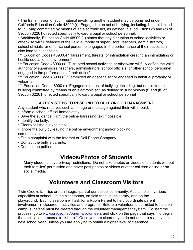• The transmission of such material involving another student may be punished under California Education Code 48900 (r): Engaged in an act of bullying, including, but not limited to, bullying committed by means of an electronic act, as defined in subdivisions (f) and (g) of Section 32261,directed specifically toward a pupil or school personnel.

• Additionally, Education Code 48900 (k) states that any disruption of school activities or otherwise willful defiance of the valid authority of supervisors, teachers, administrators, school officials, or other school personnel engaged in the performance of their duties can also lead to suspension.

\*\*\* Education Codes 48900.4 "Harassment, threats, or intimidation creating an intimidating or hostile educational environment"

\*\*\*Education Code 48900 (k) "Disrupted school activities or otherwise willfully defied the valid authority of supervisors, teachers, administrators, school officials, or other school personnel engaged in the performance of their duties"

\*\*\*Education Code 48900 (i) "Committed an obscene act or engaged in habitual profanity or vulgarity

\*\*\* Education Code 48900 (r) "Engaged in an act of bullying, including, but not limited to bullying committed by means of an electronic act, as defined in subdivisions (f) and (k) of Section 32261, directed specifically toward a pupil or school personnel"

#### **ACTION STEPS TO RESPOND TO BULLYING OR HARASSMENT**

Any student who receives such an image or message against their will should:

- Inform a school official immediately.
- Save the evidence. Print the online harassing text if possible.
- Identify the bully.
- Clearly tell the bully to stop.
- Ignore the bully by leaving the online environment and/or blocking communications.
- File a complaint with the Internet or Cell Phone Company.
- Contact the bully's parents.
- Contact the police.

#### **Videos/Photos of Students**

Many students have privacy restrictions. Do not take photos or videos of students without their families' permission and never post photos or videos of other children online or on social media.

## **Volunteers and Classroom Visitors**

Twin Creeks families are an integral part of our school community. Adults help in various capacities at school - in the classrooms, on field trips, in the library, and on the playground. Each classroom will ask for a Room Parent to help coordinate parent involvement in classroom activities and programs. Before a volunteer is permitted to help on campus, he/she must be cleared through the volunteer management system. To start the process, go to www.srvusd.net/parents/volunteers and click on the page that says "To begin the application process, click here." Once you are cleared, you do not need to reapply the next school year, unless you are applying to obtain a higher level of clearance.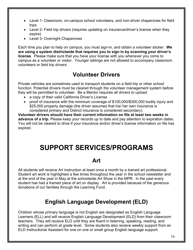- Level 1- Classroom, on-campus school volunteers, and non-driver chaperones for field trips
- Level 2- Field trip drivers (requires updating on insurance/driver's license when they expire)
- Level 3- Overnight Chaperones

Each time you plan to help on campus, you must sign-in, and obtain a volunteer sticker. **We are using a system districtwide that requires you to sign in by scanning your driver's license**. Please make sure that you have your license with you whenever you come to campus as a volunteer or visitor. Younger siblings are not allowed to accompany classroom volunteers or field trip drivers.

## **Volunteer Drivers**

Private vehicles are sometimes used to transport students on a field trip or other school function. Potential drivers must be cleared through the volunteer management system before they will be permitted to volunteer. Be a Mentor requires all drivers to upload:

- a copy of their valid California Driver's License
- proof of insurance with the minimum coverage of \$100,000/\$300,000 bodily injury and \$25,000 property damage (the driver assumes that his/ her own insurance is considered primary and District insurance is considered secondary).

**Volunteer drivers should have their current information on file at least two weeks in advance of a trip.** Please keep your records up to date and pay attention to expiration dates. You will not be cleared to drive if your insurance and/or driver's license information on file has expired.

## **SUPPORT SERVICES/PROGRAMS**

#### **Art**

All students will receive Art instruction at least once a month by a trained art professional. Student art work is highlighted a few times throughout the year in the school newsletter and at the end of the year in May at the schoolwide Art Show in the MPR. In the past every student has had a framed piece of art on display. Art is provided because of the generous donations of our families through the Learning Fund.

## **English Language Development (ELD)**

Children whose primary language is not English are designated as English Language Learners (ELL) and will receive English Language Development (ELD) from their classroom teachers. They will receive ELD until they are fluent in listening, speaking, reading, and writing and can perform at grade level. Some students also receive weekly support from an ELD Instructional Assistant for one on one or small group English language support.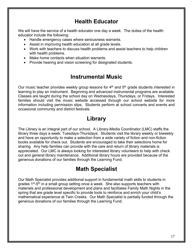#### **Health Educator**

We will have the service of a health educator one day a week. The duties of the health educator include the following:

- Handle emergency cases where seriousness warrants.
- Assist in improving health education at all grade levels.
- Work with teachers to discuss health problems and assist teachers to help children with health problems.
- Make home contacts when situation warrants.
- Provide hearing and vision screening for designated students.

#### **Instrumental Music**

Our music teacher provides weekly group lessons for 4<sup>th</sup> and 5<sup>th</sup> grade students interested in learning to play an instrument. Beginning and advanced instrumental programs are available. Classes are taught during the school day on Wednesdays, Thursdays, or Fridays. Interested families should visit the music website accessed through our school website for more information including permission slips. Students perform at school concerts and events and occasional community and district festivals.

#### **Library**

The Library is an integral part of our school. A Library-Media Coordinator (LMC) staffs the library three days a week: Tuesdays-Thursdays. Students visit the library weekly or biweekly and have an opportunity to make a selection from a wide variety of fiction and non-fiction books available for check out. Students are encouraged to take their selections home for sharing. Any help families can provide with the care and return of library materials is appreciated. Our LMC is always looking for interested library volunteers to help with check out and general library maintenance. Additional library hours are provided because of the generous donations of our families through the Learning Fund.

#### **Math Specialist**

Our Math Specialist provides additional support in fundamental math skills to students in grades 1<sup>st</sup>-5<sup>th</sup> in a small group setting once a week. She also supports teachers with materials and professional development and plans and facilitates Family Math Nights in the spring that are grade level specific to provide tools to reinforce and enrich your child's mathematical experience at Twin Creeks. Our Math Specialist is partially funded through the generous donations of our families through the Learning Fund.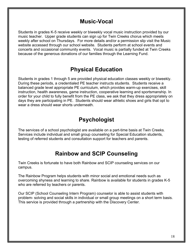#### **Music-Vocal**

Students in grades K-5 receive weekly or biweekly vocal music instruction provided by our music teacher. Upper grade students can sign up for Twin Creeks chorus which meets weekly after school on Thursdays. For more details and/or a permission slip visit the Music website accessed through our school website. Students perform at school events and concerts and occasional community events. Vocal music is partially funded at Twin Creeks because of the generous donations of our families through the Learning Fund.

#### **Physical Education**

Students in grades 1 through 5 are provided physical education classes weekly or biweekly. During these periods, a credentialed PE teacher instructs students. Students receive a balanced grade level appropriate PE curriculum, which provides warm-up exercises, skill instruction, health awareness, game instruction, cooperative learning and sportsmanship. In order for your child to fully benefit from the PE class, we ask that they dress appropriately on days they are participating in PE. Students should wear athletic shoes and girls that opt to wear a dress should wear shorts underneath.

#### **Psychologist**

The services of a school psychologist are available on a part-time basis at Twin Creeks. Services include individual and small group counseling for Special Education students, testing of referred students and consultation support for teachers and parents.

#### **Rainbow and SCIP Counseling**

Twin Creeks is fortunate to have both Rainbow and SCIP counseling services on our campus.

The Rainbow Program helps students with minor social and emotional needs such as overcoming shyness and learning to share. Rainbow is available for students in grades K-5 who are referred by teachers or parents.

Our SCIP (School Counseling Intern Program) counselor is able to assist students with problem- solving and social skills in individual or small group meetings on a short term basis. This service is provided through a partnership with the Discovery Center.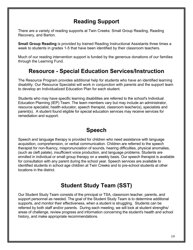#### **Reading Support**

There are a variety of reading supports at Twin Creeks: Small Group Reading, Reading Recovery, and Barton.

**Small Group Reading** is provided by trained Reading Instructional Assistants three times a week to students in grades 1-5 that have been identified by their classroom teachers.

Much of our reading intervention support is funded by the generous donations of our families through the Learning Fund.

#### **Resource - Special Education Services/Instruction**

The Resource Program provides additional help for students who have an identified learning disability. Our Resource Specialist will work in conjunction with parents and the support team to develop an Individualized Education Plan for each student.

Students who may have specific learning disabilities are referred to the school's Individual Education Planning (IEP) Team. The team members vary but may include an administrator, resource specialist, health educator, speech therapist, classroom teacher(s), specialists and parent(s). A student found eligible for special education services may receive services for remediation and support.

#### **Speech**

Speech and language therapy is provided for children who need assistance with language acquisition, comprehension, or verbal communication. Children are referred to the speech therapist for non-fluency, mispronunciation of sounds, hearing difficulties, physical anomalies, (such as cleft palate), insufficient voice production, and language problems. Students are enrolled in individual or small group therapy on a weekly basis. Our speech therapist is available for consultation with any parent during the school year. Speech services are available to identified students in school age children at Twin Creeks and to pre-school students at other locations in the district.

## **Student Study Team (SST)**

Our Student Study Team consists of the principal or TSA, classroom teacher, parents, and support personnel as needed. The goal of the Student Study Team is to determine additional supports, and monitor their effectiveness, when a student is struggling. Students can be referred by both staff and/or parents. During each meeting, we will look at student strengths/ areas of challenge, review progress and information concerning the student's health and school history, and make appropriate recommendations.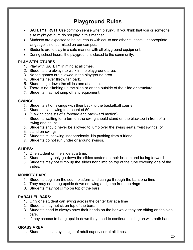## **Playground Rules**

- **SAFETY FIRST!** Use common sense when playing. If you think that you or someone else might get hurt, do not play in this manner.
- Students are expected to be courteous with adults and other students. Inappropriate language is not permitted on our campus.
- Students are to play in a safe manner with all playground equipment.
- During school hours, the playground is closed to the community.

#### **PLAY STRUCTURES**

- 1. Play with SAFETY in mind at all times.
- 2. Students are always to walk in the playground area.
- 3. No tag games are allowed in the playground area.
- 4. Students never throw tan bark.
- 5. Students go down the slides one at a time.
- 6. There is no climbing up the slide or on the outside of the slide or structure.
- 7. Students may not jump off any equipment.

#### **SWINGS:**

- 1. Students sit on swings with their back to the basketball courts.
- 2. Students can swing to a count of 50
- 3. (1 swing consists of a forward and backward motion)
- 4. Students waiting for a turn on the swing should stand on the blacktop in front of a swing and count.
- 5. Students should never be allowed to jump over the swing seats, twist swings, or
- 6. stand on swings
- 7. Students must swing independently. No pushing from a friend!
- 8. Students do not run under or around swings.

#### **SLIDES:**

- 1. One student on the slide at a time.
- 2. Students may only go down the slides seated on their bottom and facing forward
- 3. Students may not climb up the slides nor climb on top of the tube covering one of the slides.

#### **MONKEY BARS:**

- 1. Students begin on the south platform and can go through the bars one time
- 2. They may not hang upside down or swing and jump from the rings
- 3. Students may not climb on top of the bars

#### **PARALLEL BARS:**

- 1. Only one student can swing across the center bar at a time
- 2. Students may not sit on top of the bars.
- 3. Students need to always have their hands on the bar while they are sitting on the side bars.
- 4. If they choose to hang upside-down they need to continue holding on with both hands!

#### **GRASS AREA:**

1. Students must stay in sight of adult supervisor at all times.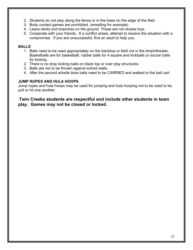- 2. Students do not play along the fence or in the trees on the edge of the field.
- 3. Body contact games are prohibited. (wrestling for example)
- 4. Leave sticks and branches on the ground. These are not recess toys.
- 5. Cooperate with your friends. If a conflict arises, attempt to resolve the situation with a compromise. If you are unsuccessful, find an adult to help you.

#### **BALLS**

- 1. Balls need to be used appropriately on the blacktop or field not in the Amphitheater. Basketballs are for basketball, rubber balls for 4 square and kickballs or soccer balls for kicking.
- 2. There is no drop kicking balls on black top or over play structures.
- 3. Balls are not to be thrown against school walls.
- 4. After the second whistle blow balls need to be CARRIED and walked to the ball cart.

#### **JUMP ROPES AND HULA HOOPS**

Jump ropes and hula hoops may be used for jumping and hula hooping not to be used to tie, pull or hit one another.

#### **Twin Creeks students are respectful and include other students in team play. Games may not be closed or locked.**